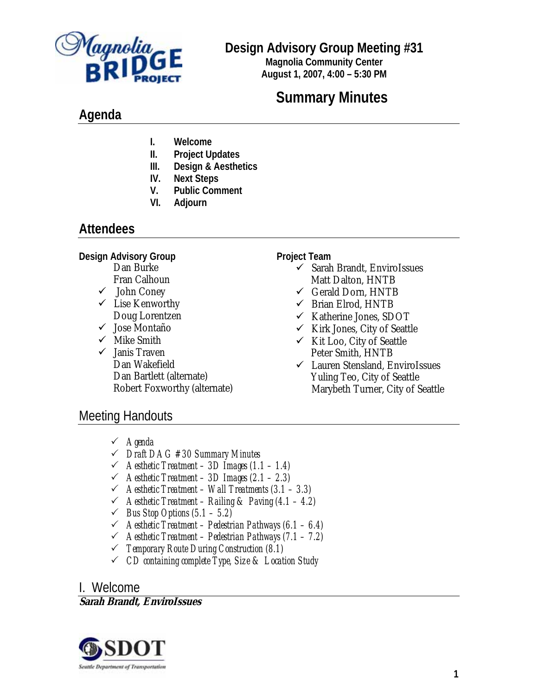

## **Design Advisory Group Meeting #31**

**Magnolia Community Center August 1, 2007, 4:00 – 5:30 PM**

# **Summary Minutes**

## **Agenda**

- **I. Welcome**
- **II. Project Updates**
- **III. Design & Aesthetics**
- **IV. Next Steps**
- **V. Public Comment**
- **VI. Adjourn**

## **Attendees**

**Design Advisory Group** 

- Dan Burke Fran Calhoun
- $\checkmark$  John Coney
- $\checkmark$  Lise Kenworthy Doug Lorentzen
- $\checkmark$  Jose Montaño
- $\checkmark$  Mike Smith
- $\checkmark$  Janis Traven Dan Wakefield Dan Bartlett (alternate) Robert Foxworthy (alternate)

**Project Team** 

- $\checkmark$  Sarah Brandt, EnviroIssues Matt Dalton, HNTB
- $\checkmark$  Gerald Dorn, HNTB
- $\checkmark$  Brian Elrod, HNTB
- $\checkmark$  Katherine Jones, SDOT
- $\checkmark$  Kirk Jones, City of Seattle
- $\checkmark$  Kit Loo, City of Seattle Peter Smith, HNTB
- $\checkmark$  Lauren Stensland, EnviroIssues Yuling Teo, City of Seattle Marybeth Turner, City of Seattle

## Meeting Handouts

- 3 *Agenda*
- 3 *Draft DAG #30 Summary Minutes*
- 3 *Aesthetic Treatment 3D Images (1.1 1.4)*
- 3 *Aesthetic Treatment 3D Images (2.1 2.3)*
- 3 *Aesthetic Treatment Wall Treatments (3.1 3.3)*
- 3 *Aesthetic Treatment Railing & Paving (4.1 4.2)*
- $\checkmark$  *Bus Stop Options (5.1 5.2)*
- 3 *Aesthetic Treatment Pedestrian Pathways (6.1 6.4)*
- 3 *Aesthetic Treatment Pedestrian Pathways (7.1 7.2)*
- 3 *Temporary Route During Construction (8.1)*
- 3 *CD containing complete Type, Size & Location Study*

### I. Welcome

#### **Sarah Brandt, EnviroIssues**

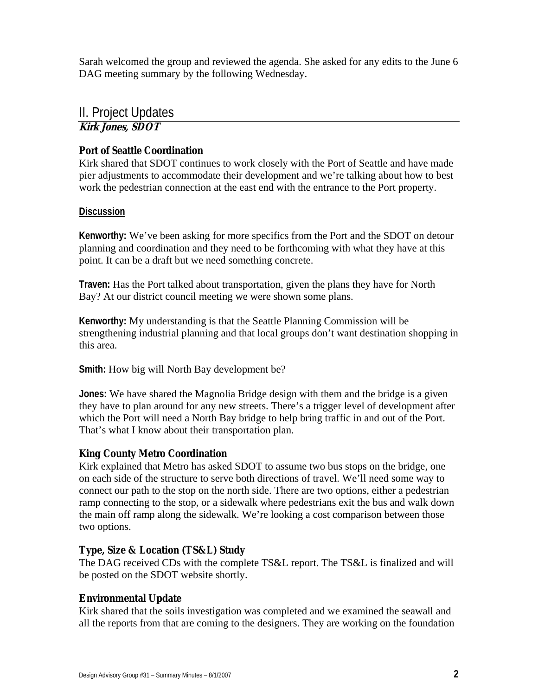Sarah welcomed the group and reviewed the agenda. She asked for any edits to the June 6 DAG meeting summary by the following Wednesday.

### II. Project Updates

### **Kirk Jones, SDOT**

#### **Port of Seattle Coordination**

Kirk shared that SDOT continues to work closely with the Port of Seattle and have made pier adjustments to accommodate their development and we're talking about how to best work the pedestrian connection at the east end with the entrance to the Port property.

#### **Discussion**

**Kenworthy:** We've been asking for more specifics from the Port and the SDOT on detour planning and coordination and they need to be forthcoming with what they have at this point. It can be a draft but we need something concrete.

**Traven:** Has the Port talked about transportation, given the plans they have for North Bay? At our district council meeting we were shown some plans.

**Kenworthy:** My understanding is that the Seattle Planning Commission will be strengthening industrial planning and that local groups don't want destination shopping in this area.

**Smith:** How big will North Bay development be?

**Jones:** We have shared the Magnolia Bridge design with them and the bridge is a given they have to plan around for any new streets. There's a trigger level of development after which the Port will need a North Bay bridge to help bring traffic in and out of the Port. That's what I know about their transportation plan.

#### **King County Metro Coordination**

Kirk explained that Metro has asked SDOT to assume two bus stops on the bridge, one on each side of the structure to serve both directions of travel. We'll need some way to connect our path to the stop on the north side. There are two options, either a pedestrian ramp connecting to the stop, or a sidewalk where pedestrians exit the bus and walk down the main off ramp along the sidewalk. We're looking a cost comparison between those two options.

#### **Type, Size & Location (TS&L) Study**

The DAG received CDs with the complete TS&L report. The TS&L is finalized and will be posted on the SDOT website shortly.

#### **Environmental Update**

Kirk shared that the soils investigation was completed and we examined the seawall and all the reports from that are coming to the designers. They are working on the foundation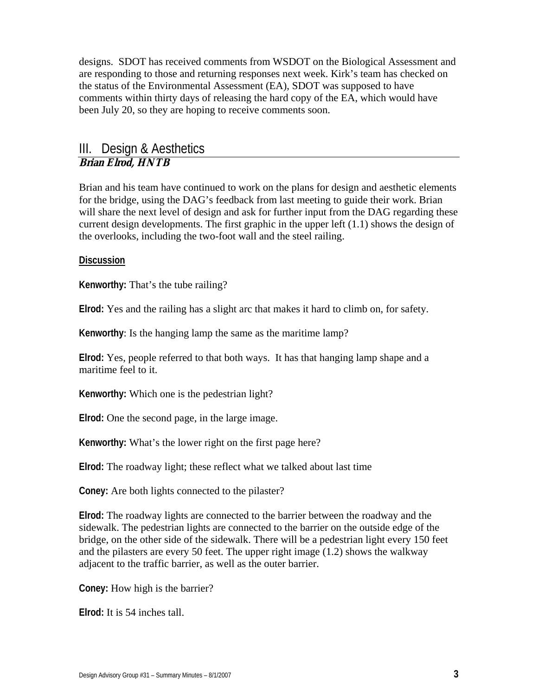designs. SDOT has received comments from WSDOT on the Biological Assessment and are responding to those and returning responses next week. Kirk's team has checked on the status of the Environmental Assessment (EA), SDOT was supposed to have comments within thirty days of releasing the hard copy of the EA, which would have been July 20, so they are hoping to receive comments soon.

#### III. Design & Aesthetics **Brian Elrod, HNTB**

Brian and his team have continued to work on the plans for design and aesthetic elements for the bridge, using the DAG's feedback from last meeting to guide their work. Brian will share the next level of design and ask for further input from the DAG regarding these current design developments. The first graphic in the upper left (1.1) shows the design of the overlooks, including the two-foot wall and the steel railing.

#### **Discussion**

**Kenworthy:** That's the tube railing?

**Elrod:** Yes and the railing has a slight arc that makes it hard to climb on, for safety.

**Kenworthy**: Is the hanging lamp the same as the maritime lamp?

**Elrod:** Yes, people referred to that both ways. It has that hanging lamp shape and a maritime feel to it.

**Kenworthy:** Which one is the pedestrian light?

**Elrod:** One the second page, in the large image.

**Kenworthy:** What's the lower right on the first page here?

**Elrod:** The roadway light; these reflect what we talked about last time

**Coney:** Are both lights connected to the pilaster?

**Elrod:** The roadway lights are connected to the barrier between the roadway and the sidewalk. The pedestrian lights are connected to the barrier on the outside edge of the bridge, on the other side of the sidewalk. There will be a pedestrian light every 150 feet and the pilasters are every 50 feet. The upper right image (1.2) shows the walkway adjacent to the traffic barrier, as well as the outer barrier.

**Coney:** How high is the barrier?

**Elrod:** It is 54 inches tall.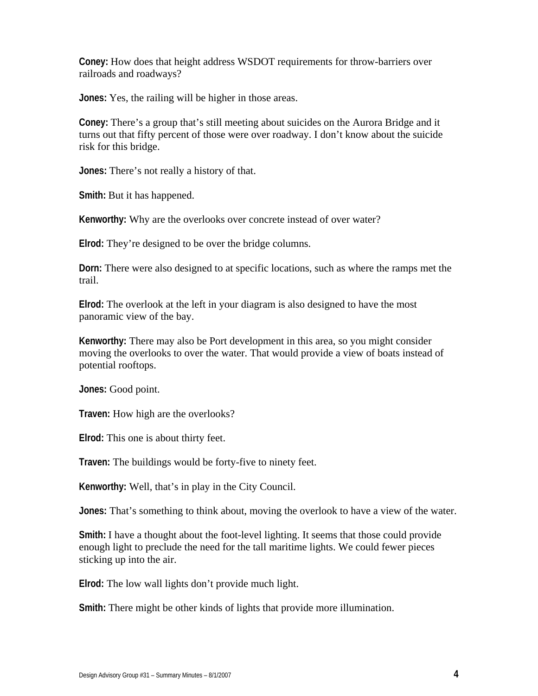**Coney:** How does that height address WSDOT requirements for throw-barriers over railroads and roadways?

**Jones:** Yes, the railing will be higher in those areas.

**Coney:** There's a group that's still meeting about suicides on the Aurora Bridge and it turns out that fifty percent of those were over roadway. I don't know about the suicide risk for this bridge.

**Jones:** There's not really a history of that.

**Smith:** But it has happened.

**Kenworthy:** Why are the overlooks over concrete instead of over water?

**Elrod:** They're designed to be over the bridge columns.

**Dorn:** There were also designed to at specific locations, such as where the ramps met the trail.

**Elrod:** The overlook at the left in your diagram is also designed to have the most panoramic view of the bay.

**Kenworthy:** There may also be Port development in this area, so you might consider moving the overlooks to over the water. That would provide a view of boats instead of potential rooftops.

**Jones:** Good point.

**Traven:** How high are the overlooks?

**Elrod:** This one is about thirty feet.

**Traven:** The buildings would be forty-five to ninety feet.

**Kenworthy:** Well, that's in play in the City Council.

**Jones:** That's something to think about, moving the overlook to have a view of the water.

**Smith:** I have a thought about the foot-level lighting. It seems that those could provide enough light to preclude the need for the tall maritime lights. We could fewer pieces sticking up into the air.

**Elrod:** The low wall lights don't provide much light.

**Smith:** There might be other kinds of lights that provide more illumination.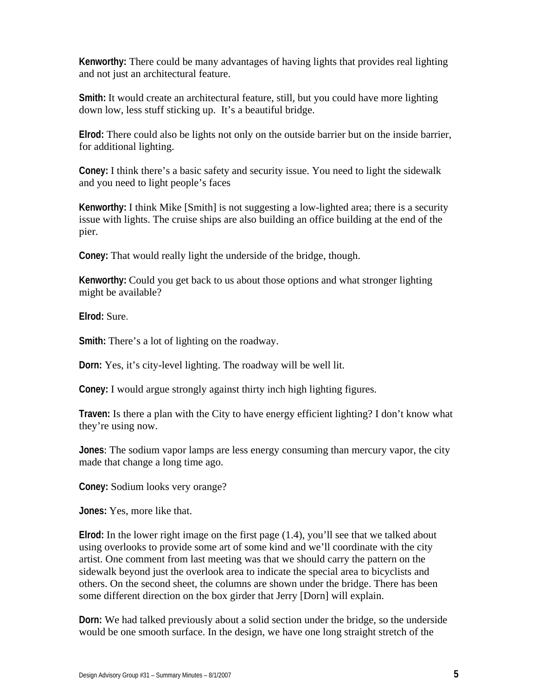**Kenworthy:** There could be many advantages of having lights that provides real lighting and not just an architectural feature.

**Smith:** It would create an architectural feature, still, but you could have more lighting down low, less stuff sticking up. It's a beautiful bridge.

**Elrod:** There could also be lights not only on the outside barrier but on the inside barrier, for additional lighting.

**Coney:** I think there's a basic safety and security issue. You need to light the sidewalk and you need to light people's faces

**Kenworthy:** I think Mike [Smith] is not suggesting a low-lighted area; there is a security issue with lights. The cruise ships are also building an office building at the end of the pier.

**Coney:** That would really light the underside of the bridge, though.

**Kenworthy:** Could you get back to us about those options and what stronger lighting might be available?

**Elrod:** Sure.

**Smith:** There's a lot of lighting on the roadway.

**Dorn:** Yes, it's city-level lighting. The roadway will be well lit.

**Coney:** I would argue strongly against thirty inch high lighting figures.

**Traven:** Is there a plan with the City to have energy efficient lighting? I don't know what they're using now.

**Jones**: The sodium vapor lamps are less energy consuming than mercury vapor, the city made that change a long time ago.

**Coney:** Sodium looks very orange?

**Jones:** Yes, more like that.

**Elrod:** In the lower right image on the first page (1.4), you'll see that we talked about using overlooks to provide some art of some kind and we'll coordinate with the city artist. One comment from last meeting was that we should carry the pattern on the sidewalk beyond just the overlook area to indicate the special area to bicyclists and others. On the second sheet, the columns are shown under the bridge. There has been some different direction on the box girder that Jerry [Dorn] will explain.

**Dorn:** We had talked previously about a solid section under the bridge, so the underside would be one smooth surface. In the design, we have one long straight stretch of the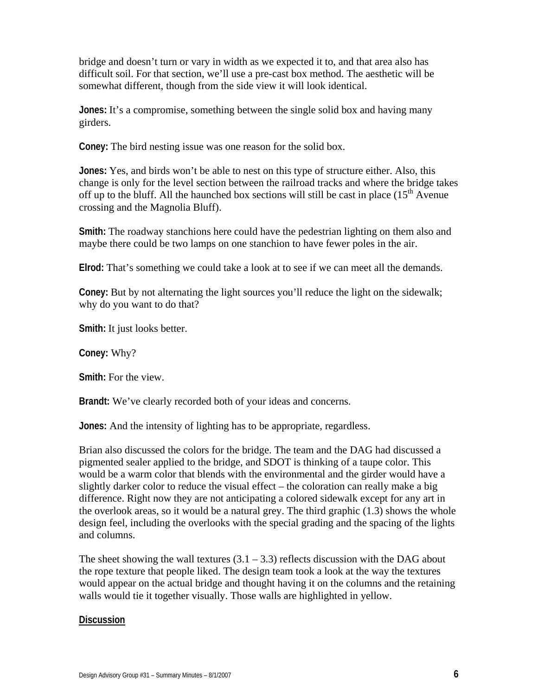bridge and doesn't turn or vary in width as we expected it to, and that area also has difficult soil. For that section, we'll use a pre-cast box method. The aesthetic will be somewhat different, though from the side view it will look identical.

**Jones:** It's a compromise, something between the single solid box and having many girders.

**Coney:** The bird nesting issue was one reason for the solid box.

**Jones:** Yes, and birds won't be able to nest on this type of structure either. Also, this change is only for the level section between the railroad tracks and where the bridge takes off up to the bluff. All the haunched box sections will still be cast in place  $(15<sup>th</sup>$  Avenue crossing and the Magnolia Bluff).

**Smith:** The roadway stanchions here could have the pedestrian lighting on them also and maybe there could be two lamps on one stanchion to have fewer poles in the air.

**Elrod:** That's something we could take a look at to see if we can meet all the demands.

**Coney:** But by not alternating the light sources you'll reduce the light on the sidewalk; why do you want to do that?

**Smith:** It just looks better.

**Coney:** Why?

**Smith:** For the view.

**Brandt:** We've clearly recorded both of your ideas and concerns.

**Jones:** And the intensity of lighting has to be appropriate, regardless.

Brian also discussed the colors for the bridge. The team and the DAG had discussed a pigmented sealer applied to the bridge, and SDOT is thinking of a taupe color. This would be a warm color that blends with the environmental and the girder would have a slightly darker color to reduce the visual effect – the coloration can really make a big difference. Right now they are not anticipating a colored sidewalk except for any art in the overlook areas, so it would be a natural grey. The third graphic (1.3) shows the whole design feel, including the overlooks with the special grading and the spacing of the lights and columns.

The sheet showing the wall textures  $(3.1 – 3.3)$  reflects discussion with the DAG about the rope texture that people liked. The design team took a look at the way the textures would appear on the actual bridge and thought having it on the columns and the retaining walls would tie it together visually. Those walls are highlighted in yellow.

#### **Discussion**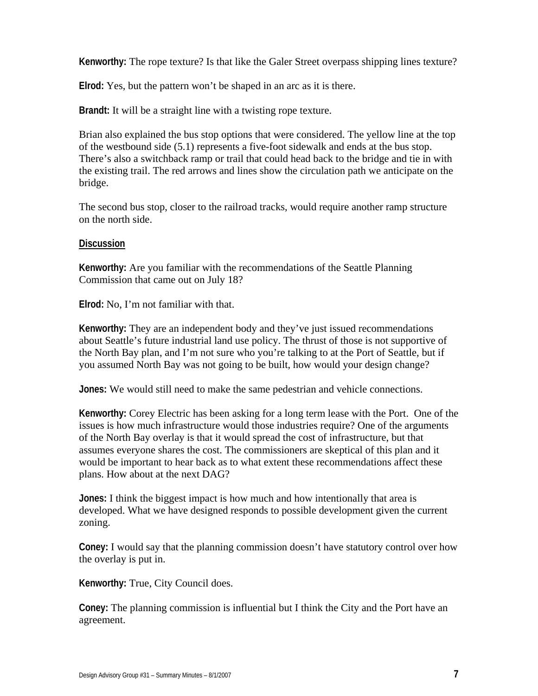**Kenworthy:** The rope texture? Is that like the Galer Street overpass shipping lines texture?

**Elrod:** Yes, but the pattern won't be shaped in an arc as it is there.

**Brandt:** It will be a straight line with a twisting rope texture.

Brian also explained the bus stop options that were considered. The yellow line at the top of the westbound side (5.1) represents a five-foot sidewalk and ends at the bus stop. There's also a switchback ramp or trail that could head back to the bridge and tie in with the existing trail. The red arrows and lines show the circulation path we anticipate on the bridge.

The second bus stop, closer to the railroad tracks, would require another ramp structure on the north side.

#### **Discussion**

**Kenworthy:** Are you familiar with the recommendations of the Seattle Planning Commission that came out on July 18?

**Elrod:** No, I'm not familiar with that.

**Kenworthy:** They are an independent body and they've just issued recommendations about Seattle's future industrial land use policy. The thrust of those is not supportive of the North Bay plan, and I'm not sure who you're talking to at the Port of Seattle, but if you assumed North Bay was not going to be built, how would your design change?

**Jones:** We would still need to make the same pedestrian and vehicle connections.

**Kenworthy:** Corey Electric has been asking for a long term lease with the Port. One of the issues is how much infrastructure would those industries require? One of the arguments of the North Bay overlay is that it would spread the cost of infrastructure, but that assumes everyone shares the cost. The commissioners are skeptical of this plan and it would be important to hear back as to what extent these recommendations affect these plans. How about at the next DAG?

**Jones:** I think the biggest impact is how much and how intentionally that area is developed. What we have designed responds to possible development given the current zoning.

**Coney:** I would say that the planning commission doesn't have statutory control over how the overlay is put in.

**Kenworthy:** True, City Council does.

**Coney:** The planning commission is influential but I think the City and the Port have an agreement.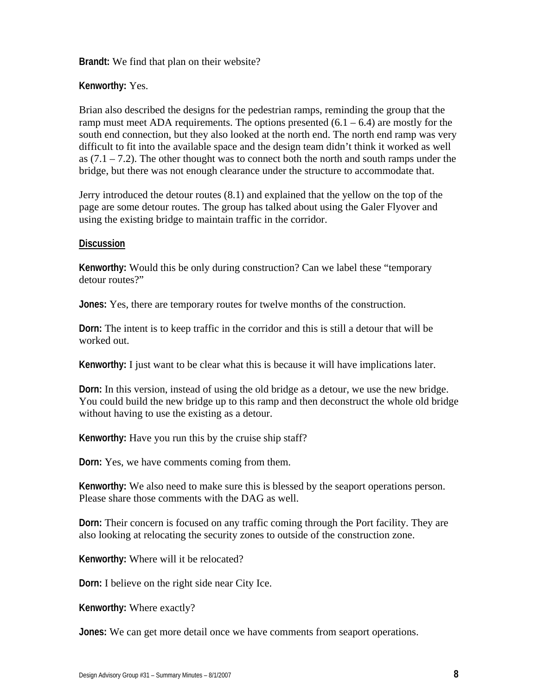**Brandt:** We find that plan on their website?

**Kenworthy:** Yes.

Brian also described the designs for the pedestrian ramps, reminding the group that the ramp must meet ADA requirements. The options presented  $(6.1 - 6.4)$  are mostly for the south end connection, but they also looked at the north end. The north end ramp was very difficult to fit into the available space and the design team didn't think it worked as well as  $(7.1 - 7.2)$ . The other thought was to connect both the north and south ramps under the bridge, but there was not enough clearance under the structure to accommodate that.

Jerry introduced the detour routes (8.1) and explained that the yellow on the top of the page are some detour routes. The group has talked about using the Galer Flyover and using the existing bridge to maintain traffic in the corridor.

#### **Discussion**

**Kenworthy:** Would this be only during construction? Can we label these "temporary detour routes?"

**Jones:** Yes, there are temporary routes for twelve months of the construction.

**Dorn:** The intent is to keep traffic in the corridor and this is still a detour that will be worked out.

**Kenworthy:** I just want to be clear what this is because it will have implications later.

**Dorn:** In this version, instead of using the old bridge as a detour, we use the new bridge. You could build the new bridge up to this ramp and then deconstruct the whole old bridge without having to use the existing as a detour.

**Kenworthy:** Have you run this by the cruise ship staff?

**Dorn:** Yes, we have comments coming from them.

**Kenworthy:** We also need to make sure this is blessed by the seaport operations person. Please share those comments with the DAG as well.

**Dorn:** Their concern is focused on any traffic coming through the Port facility. They are also looking at relocating the security zones to outside of the construction zone.

**Kenworthy:** Where will it be relocated?

**Dorn:** I believe on the right side near City Ice.

**Kenworthy:** Where exactly?

**Jones:** We can get more detail once we have comments from seaport operations.